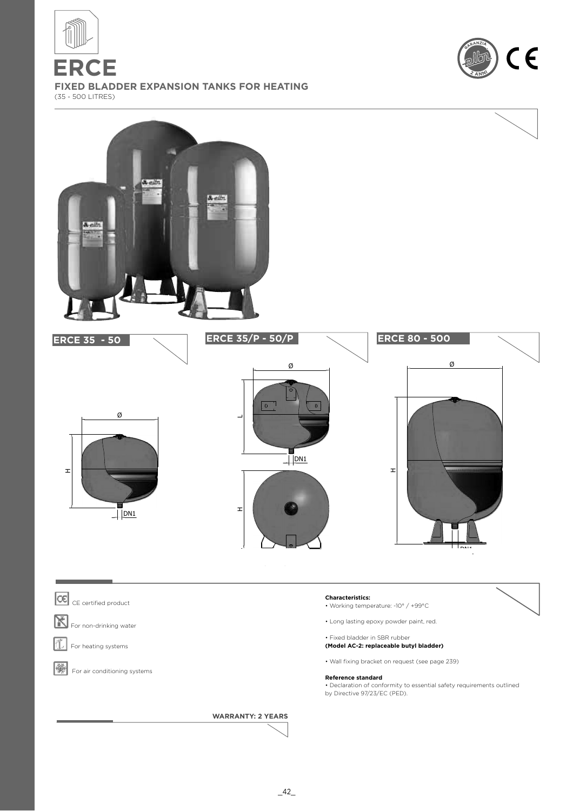